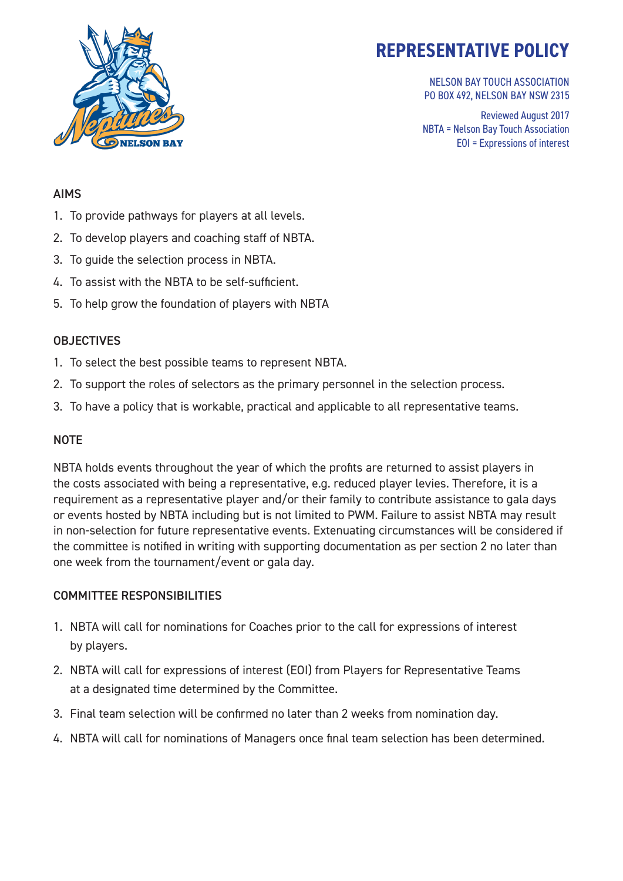

NELSON BAY TOUCH ASSOCIATION PO BOX 492, NELSON BAY NSW 2315

Reviewed August 2017 NBTA = Nelson Bay Touch Association EOI = Expressions of interest

#### AIMS

- 1. To provide pathways for players at all levels.
- 2. To develop players and coaching staff of NBTA.
- 3. To guide the selection process in NBTA.
- 4. To assist with the NBTA to be self-sufficient.
- 5. To help grow the foundation of players with NBTA

### **OBJECTIVES**

- 1. To select the best possible teams to represent NBTA.
- 2. To support the roles of selectors as the primary personnel in the selection process.
- 3. To have a policy that is workable, practical and applicable to all representative teams.

#### **NOTE**

NBTA holds events throughout the year of which the profits are returned to assist players in the costs associated with being a representative, e.g. reduced player levies. Therefore, it is a requirement as a representative player and/or their family to contribute assistance to gala days or events hosted by NBTA including but is not limited to PWM. Failure to assist NBTA may result in non-selection for future representative events. Extenuating circumstances will be considered if the committee is notified in writing with supporting documentation as per section 2 no later than one week from the tournament/event or gala day.

#### COMMITTEE RESPONSIBILITIES

- 1. NBTA will call for nominations for Coaches prior to the call for expressions of interest by players.
- 2. NBTA will call for expressions of interest (EOI) from Players for Representative Teams at a designated time determined by the Committee.
- 3. Final team selection will be confirmed no later than 2 weeks from nomination day.
- 4. NBTA will call for nominations of Managers once final team selection has been determined.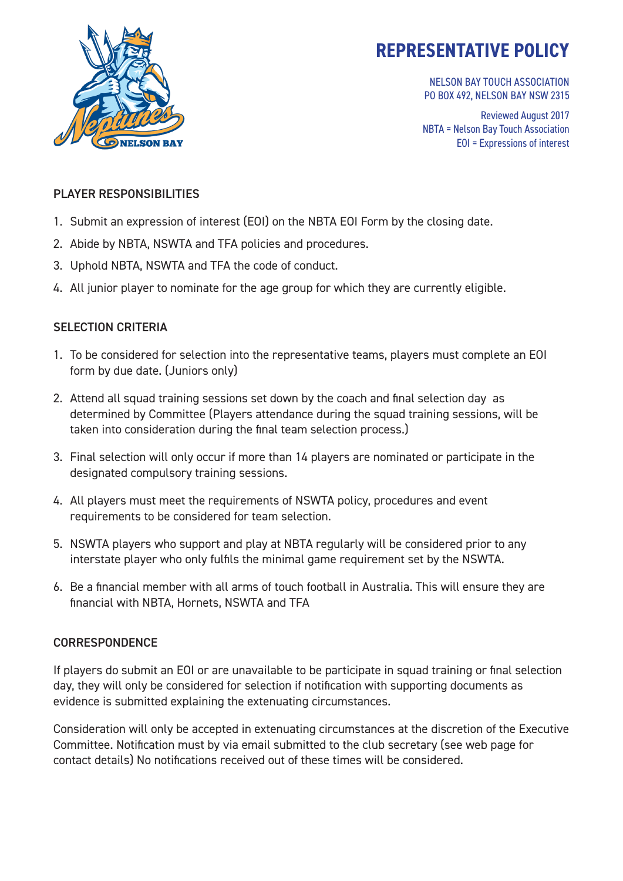

NELSON BAY TOUCH ASSOCIATION PO BOX 492, NELSON BAY NSW 2315

Reviewed August 2017 NBTA = Nelson Bay Touch Association EOI = Expressions of interest

### PLAYER RESPONSIBILITIES

- 1. Submit an expression of interest (EOI) on the NBTA EOI Form by the closing date.
- 2. Abide by NBTA, NSWTA and TFA policies and procedures.
- 3. Uphold NBTA, NSWTA and TFA the code of conduct.
- 4. All junior player to nominate for the age group for which they are currently eligible.

## SELECTION CRITERIA

- 1. To be considered for selection into the representative teams, players must complete an EOI form by due date. (Juniors only)
- 2. Attend all squad training sessions set down by the coach and final selection day as determined by Committee (Players attendance during the squad training sessions, will be taken into consideration during the final team selection process.)
- 3. Final selection will only occur if more than 14 players are nominated or participate in the designated compulsory training sessions.
- 4. All players must meet the requirements of NSWTA policy, procedures and event requirements to be considered for team selection.
- 5. NSWTA players who support and play at NBTA regularly will be considered prior to any interstate player who only fulfils the minimal game requirement set by the NSWTA.
- 6. Be a financial member with all arms of touch football in Australia. This will ensure they are financial with NBTA, Hornets, NSWTA and TFA

## **CORRESPONDENCE**

If players do submit an EOI or are unavailable to be participate in squad training or final selection day, they will only be considered for selection if notification with supporting documents as evidence is submitted explaining the extenuating circumstances.

Consideration will only be accepted in extenuating circumstances at the discretion of the Executive Committee. Notification must by via email submitted to the club secretary (see web page for contact details) No notifications received out of these times will be considered.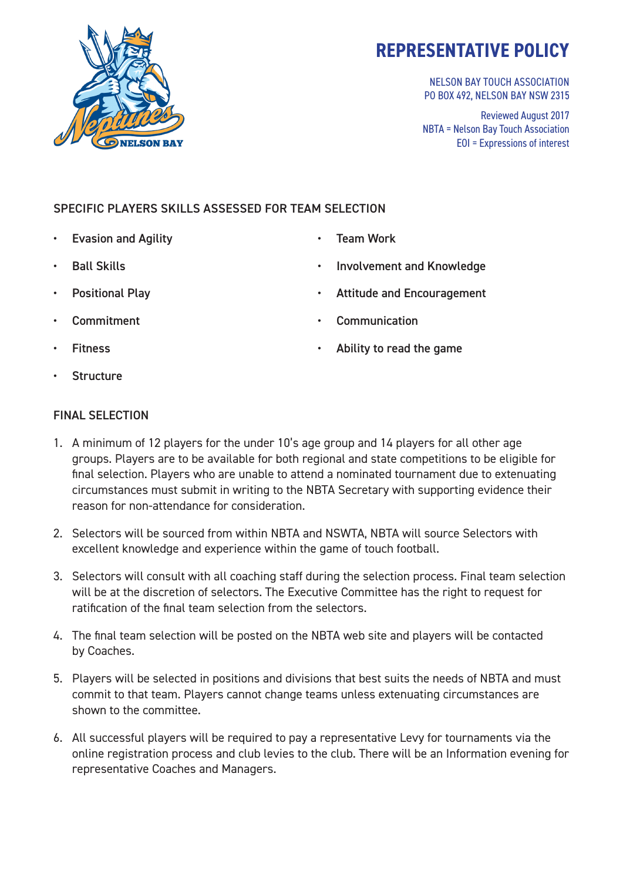

NELSON BAY TOUCH ASSOCIATION PO BOX 492, NELSON BAY NSW 2315

Reviewed August 2017 NBTA = Nelson Bay Touch Association EOI = Expressions of interest

## SPECIFIC PLAYERS SKILLS ASSESSED FOR TEAM SELECTION

- Evasion and Agility
- Ball Skills
- Positional Play
- **Commitment**
- **Fitness**
- **Structure**

## FINAL SELECTION

- 1. A minimum of 12 players for the under 10's age group and 14 players for all other age groups. Players are to be available for both regional and state competitions to be eligible for final selection. Players who are unable to attend a nominated tournament due to extenuating circumstances must submit in writing to the NBTA Secretary with supporting evidence their reason for non-attendance for consideration.
- 2. Selectors will be sourced from within NBTA and NSWTA, NBTA will source Selectors with excellent knowledge and experience within the game of touch football.
- 3. Selectors will consult with all coaching staff during the selection process. Final team selection will be at the discretion of selectors. The Executive Committee has the right to request for ratification of the final team selection from the selectors.
- 4. The final team selection will be posted on the NBTA web site and players will be contacted by Coaches.
- 5. Players will be selected in positions and divisions that best suits the needs of NBTA and must commit to that team. Players cannot change teams unless extenuating circumstances are shown to the committee.
- 6. All successful players will be required to pay a representative Levy for tournaments via the online registration process and club levies to the club. There will be an Information evening for representative Coaches and Managers.
- Team Work
- Involvement and Knowledge
- Attitude and Encouragement
- **Communication**
- Ability to read the game